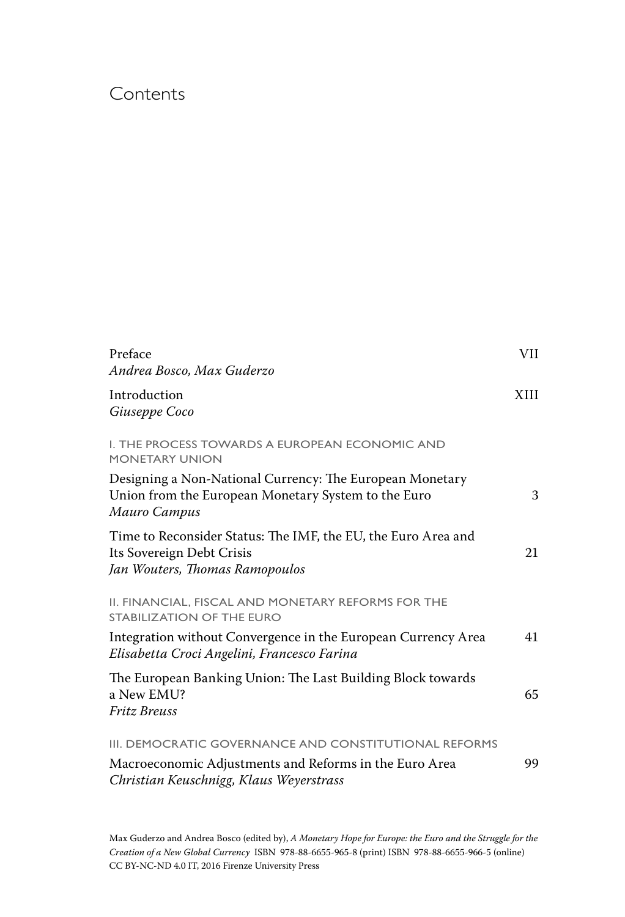## Contents

| Preface<br>Andrea Bosco, Max Guderzo                                                                                            | VII  |
|---------------------------------------------------------------------------------------------------------------------------------|------|
| Introduction<br>Giuseppe Coco                                                                                                   | XIII |
| I. THE PROCESS TOWARDS A EUROPEAN ECONOMIC AND<br><b>MONETARY UNION</b>                                                         |      |
| Designing a Non-National Currency: The European Monetary<br>Union from the European Monetary System to the Euro<br>Mauro Campus | 3    |
| Time to Reconsider Status: The IMF, the EU, the Euro Area and<br>Its Sovereign Debt Crisis<br>Jan Wouters, Thomas Ramopoulos    | 21   |
| II. FINANCIAL, FISCAL AND MONETARY REFORMS FOR THE<br><b>STABILIZATION OF THE EURO</b>                                          |      |
| Integration without Convergence in the European Currency Area<br>Elisabetta Croci Angelini, Francesco Farina                    | 41   |
| The European Banking Union: The Last Building Block towards<br>a New EMU?<br><b>Fritz Breuss</b>                                | 65   |
| III. DEMOCRATIC GOVERNANCE AND CONSTITUTIONAL REFORMS                                                                           |      |
| Macroeconomic Adjustments and Reforms in the Euro Area<br>Christian Keuschnigg, Klaus Weyerstrass                               | 99   |